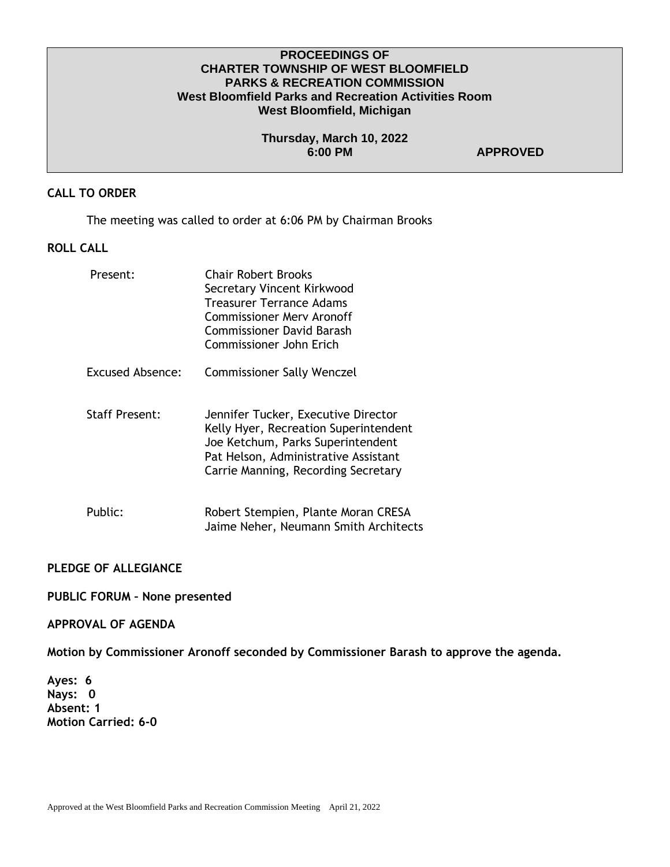## **PROCEEDINGS OF CHARTER TOWNSHIP OF WEST BLOOMFIELD PARKS & RECREATION COMMISSION West Bloomfield Parks and Recreation Activities Room West Bloomfield, Michigan**

### **Thursday, March 10, 2022 6:00 PM APPROVED**

# **CALL TO ORDER**

The meeting was called to order at 6:06 PM by Chairman Brooks

# **ROLL CALL**

| Present:                | <b>Chair Robert Brooks</b><br>Secretary Vincent Kirkwood<br>Treasurer Terrance Adams<br><b>Commissioner Merv Aronoff</b><br>Commissioner David Barash<br>Commissioner John Erich                 |
|-------------------------|--------------------------------------------------------------------------------------------------------------------------------------------------------------------------------------------------|
| <b>Excused Absence:</b> | <b>Commissioner Sally Wenczel</b>                                                                                                                                                                |
| <b>Staff Present:</b>   | Jennifer Tucker, Executive Director<br>Kelly Hyer, Recreation Superintendent<br>Joe Ketchum, Parks Superintendent<br>Pat Helson, Administrative Assistant<br>Carrie Manning, Recording Secretary |
| Public:                 | Robert Stempien, Plante Moran CRESA<br>Jaime Neher, Neumann Smith Architects                                                                                                                     |

#### **PLEDGE OF ALLEGIANCE**

**PUBLIC FORUM – None presented**

#### **APPROVAL OF AGENDA**

**Motion by Commissioner Aronoff seconded by Commissioner Barash to approve the agenda.** 

**Ayes: 6 Nays: 0 Absent: 1 Motion Carried: 6-0**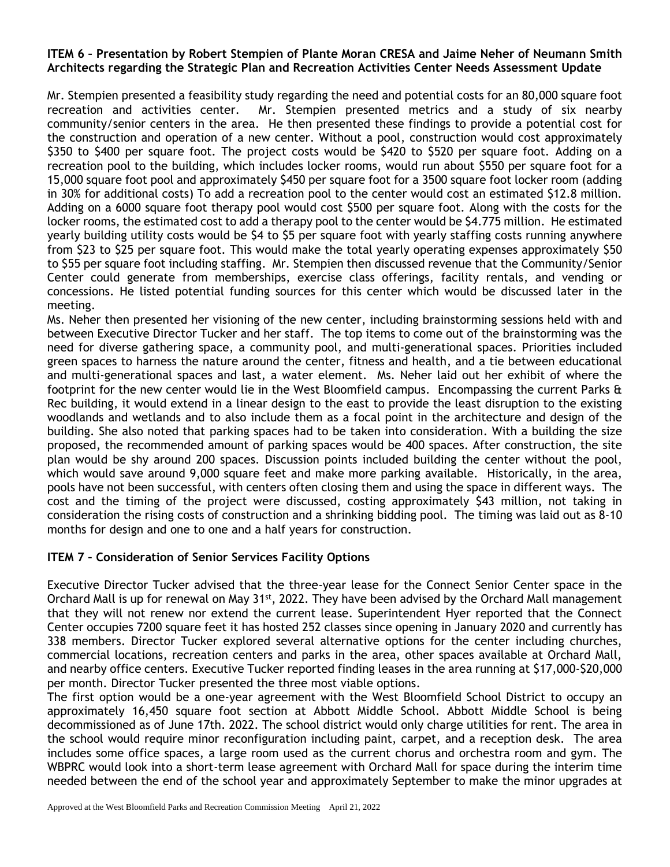### **ITEM 6 – Presentation by Robert Stempien of Plante Moran CRESA and Jaime Neher of Neumann Smith Architects regarding the Strategic Plan and Recreation Activities Center Needs Assessment Update**

Mr. Stempien presented a feasibility study regarding the need and potential costs for an 80,000 square foot recreation and activities center. Mr. Stempien presented metrics and a study of six nearby community/senior centers in the area. He then presented these findings to provide a potential cost for the construction and operation of a new center. Without a pool, construction would cost approximately \$350 to \$400 per square foot. The project costs would be \$420 to \$520 per square foot. Adding on a recreation pool to the building, which includes locker rooms, would run about \$550 per square foot for a 15,000 square foot pool and approximately \$450 per square foot for a 3500 square foot locker room (adding in 30% for additional costs) To add a recreation pool to the center would cost an estimated \$12.8 million. Adding on a 6000 square foot therapy pool would cost \$500 per square foot. Along with the costs for the locker rooms, the estimated cost to add a therapy pool to the center would be \$4.775 million. He estimated yearly building utility costs would be \$4 to \$5 per square foot with yearly staffing costs running anywhere from \$23 to \$25 per square foot. This would make the total yearly operating expenses approximately \$50 to \$55 per square foot including staffing. Mr. Stempien then discussed revenue that the Community/Senior Center could generate from memberships, exercise class offerings, facility rentals, and vending or concessions. He listed potential funding sources for this center which would be discussed later in the meeting.

Ms. Neher then presented her visioning of the new center, including brainstorming sessions held with and between Executive Director Tucker and her staff. The top items to come out of the brainstorming was the need for diverse gathering space, a community pool, and multi-generational spaces. Priorities included green spaces to harness the nature around the center, fitness and health, and a tie between educational and multi-generational spaces and last, a water element. Ms. Neher laid out her exhibit of where the footprint for the new center would lie in the West Bloomfield campus. Encompassing the current Parks & Rec building, it would extend in a linear design to the east to provide the least disruption to the existing woodlands and wetlands and to also include them as a focal point in the architecture and design of the building. She also noted that parking spaces had to be taken into consideration. With a building the size proposed, the recommended amount of parking spaces would be 400 spaces. After construction, the site plan would be shy around 200 spaces. Discussion points included building the center without the pool, which would save around 9,000 square feet and make more parking available. Historically, in the area, pools have not been successful, with centers often closing them and using the space in different ways. The cost and the timing of the project were discussed, costing approximately \$43 million, not taking in consideration the rising costs of construction and a shrinking bidding pool. The timing was laid out as 8-10 months for design and one to one and a half years for construction.

## **ITEM 7 – Consideration of Senior Services Facility Options**

Executive Director Tucker advised that the three-year lease for the Connect Senior Center space in the Orchard Mall is up for renewal on May 31<sup>st</sup>, 2022. They have been advised by the Orchard Mall management that they will not renew nor extend the current lease. Superintendent Hyer reported that the Connect Center occupies 7200 square feet it has hosted 252 classes since opening in January 2020 and currently has 338 members. Director Tucker explored several alternative options for the center including churches, commercial locations, recreation centers and parks in the area, other spaces available at Orchard Mall, and nearby office centers. Executive Tucker reported finding leases in the area running at \$17,000-\$20,000 per month. Director Tucker presented the three most viable options.

The first option would be a one-year agreement with the West Bloomfield School District to occupy an approximately 16,450 square foot section at Abbott Middle School. Abbott Middle School is being decommissioned as of June 17th. 2022. The school district would only charge utilities for rent. The area in the school would require minor reconfiguration including paint, carpet, and a reception desk. The area includes some office spaces, a large room used as the current chorus and orchestra room and gym. The WBPRC would look into a short-term lease agreement with Orchard Mall for space during the interim time needed between the end of the school year and approximately September to make the minor upgrades at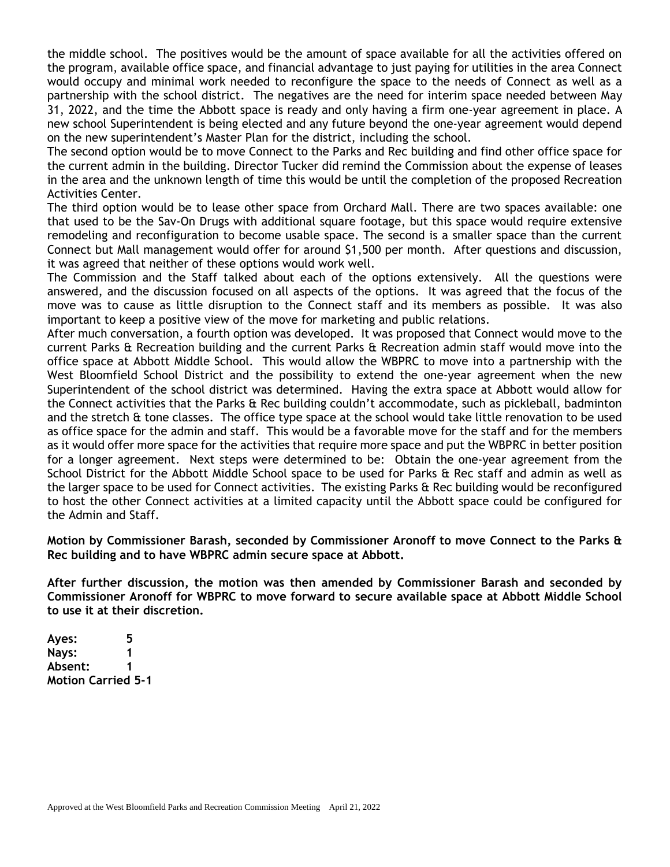the middle school. The positives would be the amount of space available for all the activities offered on the program, available office space, and financial advantage to just paying for utilities in the area Connect would occupy and minimal work needed to reconfigure the space to the needs of Connect as well as a partnership with the school district. The negatives are the need for interim space needed between May 31, 2022, and the time the Abbott space is ready and only having a firm one-year agreement in place. A new school Superintendent is being elected and any future beyond the one-year agreement would depend on the new superintendent's Master Plan for the district, including the school.

The second option would be to move Connect to the Parks and Rec building and find other office space for the current admin in the building. Director Tucker did remind the Commission about the expense of leases in the area and the unknown length of time this would be until the completion of the proposed Recreation Activities Center.

The third option would be to lease other space from Orchard Mall. There are two spaces available: one that used to be the Sav-On Drugs with additional square footage, but this space would require extensive remodeling and reconfiguration to become usable space. The second is a smaller space than the current Connect but Mall management would offer for around \$1,500 per month. After questions and discussion, it was agreed that neither of these options would work well.

The Commission and the Staff talked about each of the options extensively. All the questions were answered, and the discussion focused on all aspects of the options. It was agreed that the focus of the move was to cause as little disruption to the Connect staff and its members as possible. It was also important to keep a positive view of the move for marketing and public relations.

After much conversation, a fourth option was developed. It was proposed that Connect would move to the current Parks & Recreation building and the current Parks & Recreation admin staff would move into the office space at Abbott Middle School. This would allow the WBPRC to move into a partnership with the West Bloomfield School District and the possibility to extend the one-year agreement when the new Superintendent of the school district was determined. Having the extra space at Abbott would allow for the Connect activities that the Parks & Rec building couldn't accommodate, such as pickleball, badminton and the stretch  $\hat{a}$  tone classes. The office type space at the school would take little renovation to be used as office space for the admin and staff. This would be a favorable move for the staff and for the members as it would offer more space for the activities that require more space and put the WBPRC in better position for a longer agreement. Next steps were determined to be: Obtain the one-year agreement from the School District for the Abbott Middle School space to be used for Parks & Rec staff and admin as well as the larger space to be used for Connect activities. The existing Parks & Rec building would be reconfigured to host the other Connect activities at a limited capacity until the Abbott space could be configured for the Admin and Staff.

**Motion by Commissioner Barash, seconded by Commissioner Aronoff to move Connect to the Parks & Rec building and to have WBPRC admin secure space at Abbott.**

**After further discussion, the motion was then amended by Commissioner Barash and seconded by Commissioner Aronoff for WBPRC to move forward to secure available space at Abbott Middle School to use it at their discretion.** 

**Ayes: 5 Nays: 1 Absent: 1 Motion Carried 5-1**